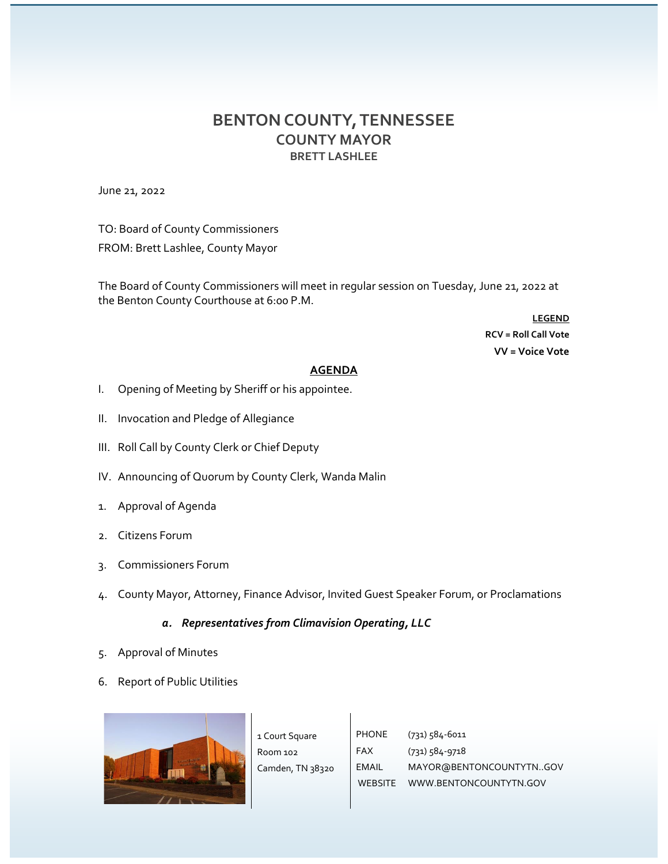## **BENTON COUNTY, TENNESSEE COUNTY MAYOR BRETT LASHLEE**

June 21, 2022

TO: Board of County Commissioners FROM: Brett Lashlee, County Mayor

The Board of County Commissioners will meet in regular session on Tuesday, June 21, 2022 at the Benton County Courthouse at 6:00 P.M.

> **LEGEND RCV = Roll Call Vote VV = Voice Vote**

## **AGENDA**

- I. Opening of Meeting by Sheriff or his appointee.
- II. Invocation and Pledge of Allegiance
- III. Roll Call by County Clerk or Chief Deputy
- IV. Announcing of Quorum by County Clerk, Wanda Malin
- 1. Approval of Agenda
- 2. Citizens Forum
- 3. Commissioners Forum
- 4. County Mayor, Attorney, Finance Advisor, Invited Guest Speaker Forum, or Proclamations

## *a. Representatives from Climavision Operating, LLC*

- 5. Approval of Minutes
- 6. Report of Public Utilities



| urt Square    | PHONE        | $(731) 584 - 6011$             |
|---------------|--------------|--------------------------------|
| n 102         | FAX          | $(731) 584 - 9718$             |
| den, TN 38320 | <b>EMAIL</b> | MAYOR@BENTONCOUNTYTNGOV        |
|               |              | WEBSITE WWW.BENTONCOUNTYTN.GOV |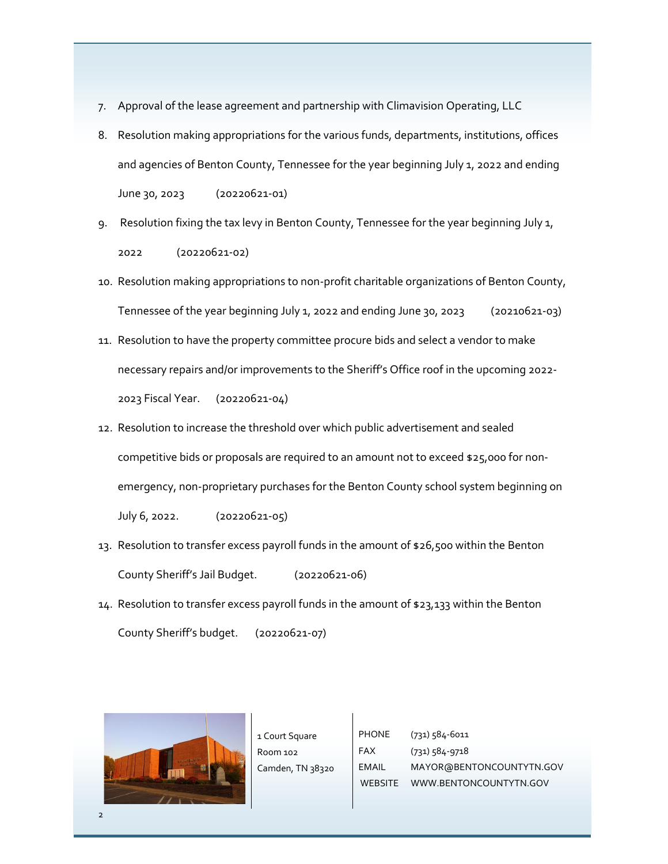- 7. Approval of the lease agreement and partnership with Climavision Operating, LLC
- 8. Resolution making appropriations for the various funds, departments, institutions, offices and agencies of Benton County, Tennessee for the year beginning July 1, 2022 and ending June 30, 2023 (20220621-01)
- 9. Resolution fixing the tax levy in Benton County, Tennessee for the year beginning July 1, 2022 (20220621-02)
- 10. Resolution making appropriations to non-profit charitable organizations of Benton County, Tennessee of the year beginning July 1, 2022 and ending June 30, 2023 (20210621-03)
- 11. Resolution to have the property committee procure bids and select a vendor to make necessary repairs and/or improvements to the Sheriff's Office roof in the upcoming 2022- 2023 Fiscal Year. (20220621-04)
- 12. Resolution to increase the threshold over which public advertisement and sealed competitive bids or proposals are required to an amount not to exceed \$25,000 for nonemergency, non-proprietary purchases for the Benton County school system beginning on July 6, 2022. (20220621-05)
- 13. Resolution to transfer excess payroll funds in the amount of \$26,500 within the Benton County Sheriff's Jail Budget. (20220621-06)
- 14. Resolution to transfer excess payroll funds in the amount of \$23,133 within the Benton County Sheriff's budget. (20220621-07)



1 Court Square Room 102 Camden, TN 38320 PHONE FAX EMAIL WEBSITE WWW.BENTONCOUNTYTN.GOV (731) 584-6011 (731) 584-9718 MAYOR@BENTONCOUNTYTN.GOV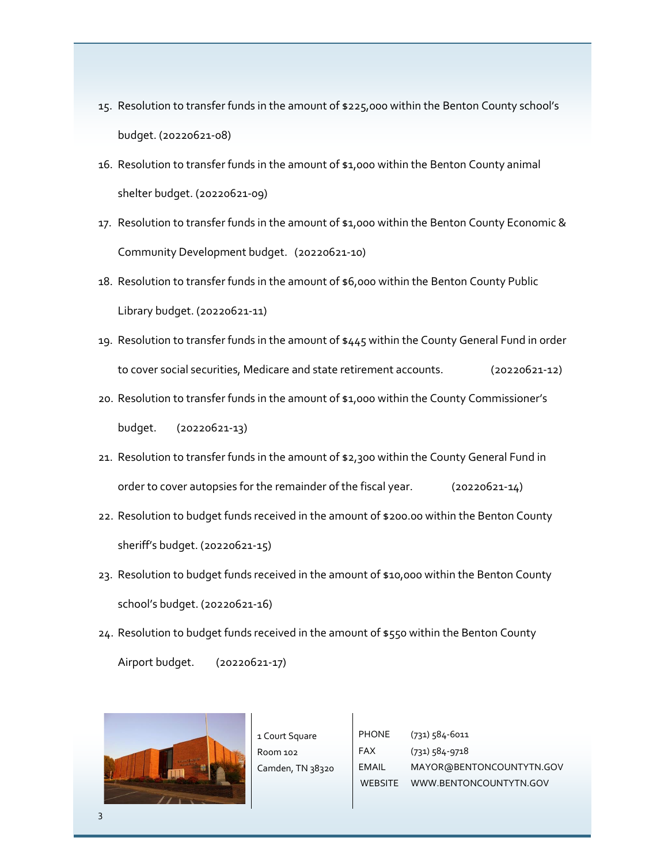- 15. Resolution to transfer funds in the amount of \$225,000 within the Benton County school's budget. (20220621-08)
- 16. Resolution to transfer funds in the amount of \$1,000 within the Benton County animal shelter budget. (20220621-09)
- 17. Resolution to transfer funds in the amount of \$1,000 within the Benton County Economic & Community Development budget. (20220621-10)
- 18. Resolution to transfer funds in the amount of \$6,000 within the Benton County Public Library budget. (20220621-11)
- 19. Resolution to transfer funds in the amount of \$445 within the County General Fund in order to cover social securities, Medicare and state retirement accounts. (20220621-12)
- 20. Resolution to transfer funds in the amount of \$1,000 within the County Commissioner's budget. (20220621-13)
- 21. Resolution to transfer funds in the amount of \$2,300 within the County General Fund in order to cover autopsies for the remainder of the fiscal year. (20220621-14)
- 22. Resolution to budget funds received in the amount of \$200.00 within the Benton County sheriff's budget. (20220621-15)
- 23. Resolution to budget funds received in the amount of \$10,000 within the Benton County school's budget. (20220621-16)
- 24. Resolution to budget funds received in the amount of \$550 within the Benton County Airport budget. (20220621-17)



1 Court Square Room 102 Camden, TN 38320 PHONE FAX EMAIL WEBSITE WWW.BENTONCOUNTYTN.GOV (731) 584-6011 (731) 584-9718 MAYOR@BENTONCOUNTYTN.GOV